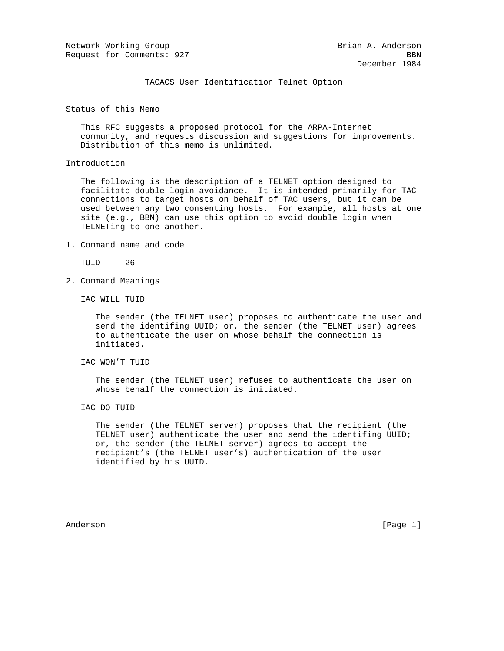Network Working Group and the Second State Brian A. Anderson Request for Comments: 927 BBN

TACACS User Identification Telnet Option

Status of this Memo

 This RFC suggests a proposed protocol for the ARPA-Internet community, and requests discussion and suggestions for improvements. Distribution of this memo is unlimited.

## Introduction

 The following is the description of a TELNET option designed to facilitate double login avoidance. It is intended primarily for TAC connections to target hosts on behalf of TAC users, but it can be used between any two consenting hosts. For example, all hosts at one site (e.g., BBN) can use this option to avoid double login when TELNETing to one another.

1. Command name and code

TUID 26

2. Command Meanings

IAC WILL TUID

 The sender (the TELNET user) proposes to authenticate the user and send the identifing UUID; or, the sender (the TELNET user) agrees to authenticate the user on whose behalf the connection is initiated.

IAC WON'T TUID

 The sender (the TELNET user) refuses to authenticate the user on whose behalf the connection is initiated.

IAC DO TUID

 The sender (the TELNET server) proposes that the recipient (the TELNET user) authenticate the user and send the identifing UUID; or, the sender (the TELNET server) agrees to accept the recipient's (the TELNET user's) authentication of the user identified by his UUID.

Anderson [Page 1]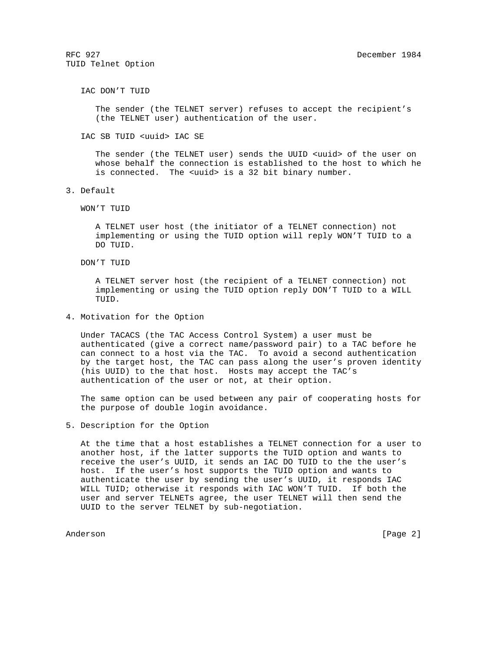RFC 927 December 1984 TUID Telnet Option

IAC DON'T TUID

 The sender (the TELNET server) refuses to accept the recipient's (the TELNET user) authentication of the user.

IAC SB TUID <uuid> IAC SE

 The sender (the TELNET user) sends the UUID <uuid> of the user on whose behalf the connection is established to the host to which he is connected. The <uuid> is a 32 bit binary number.

3. Default

WON'T TUID

 A TELNET user host (the initiator of a TELNET connection) not implementing or using the TUID option will reply WON'T TUID to a DO TUID.

DON'T TUID

 A TELNET server host (the recipient of a TELNET connection) not implementing or using the TUID option reply DON'T TUID to a WILL TUID.

4. Motivation for the Option

 Under TACACS (the TAC Access Control System) a user must be authenticated (give a correct name/password pair) to a TAC before he can connect to a host via the TAC. To avoid a second authentication by the target host, the TAC can pass along the user's proven identity (his UUID) to the that host. Hosts may accept the TAC's authentication of the user or not, at their option.

 The same option can be used between any pair of cooperating hosts for the purpose of double login avoidance.

5. Description for the Option

 At the time that a host establishes a TELNET connection for a user to another host, if the latter supports the TUID option and wants to receive the user's UUID, it sends an IAC DO TUID to the the user's host. If the user's host supports the TUID option and wants to authenticate the user by sending the user's UUID, it responds IAC WILL TUID; otherwise it responds with IAC WON'T TUID. If both the user and server TELNETs agree, the user TELNET will then send the UUID to the server TELNET by sub-negotiation.

Anderson [Page 2]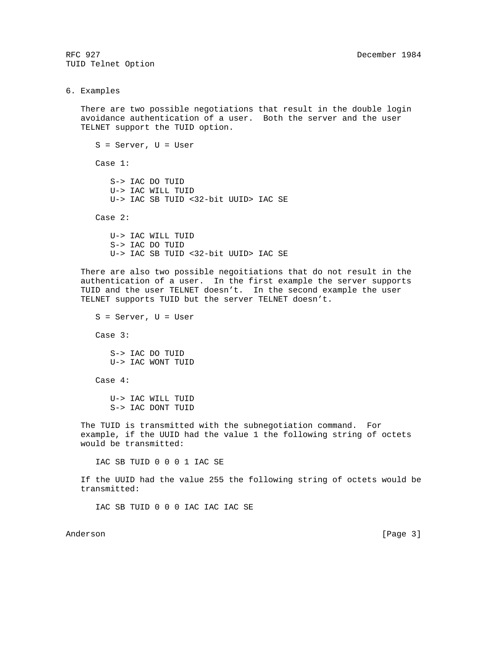RFC 927 December 1984 TUID Telnet Option

6. Examples

 There are two possible negotiations that result in the double login avoidance authentication of a user. Both the server and the user TELNET support the TUID option.

 S = Server, U = User Case 1: S-> IAC DO TUID U-> IAC WILL TUID U-> IAC SB TUID <32-bit UUID> IAC SE Case 2:

 U-> IAC WILL TUID S-> IAC DO TUID U-> IAC SB TUID <32-bit UUID> IAC SE

 There are also two possible negoitiations that do not result in the authentication of a user. In the first example the server supports TUID and the user TELNET doesn't. In the second example the user TELNET supports TUID but the server TELNET doesn't.

 S = Server, U = User Case 3: S-> IAC DO TUID U-> IAC WONT TUID Case 4: U-> IAC WILL TUID S-> IAC DONT TUID The TUID is transmitted with the subnegotiation command. For example, if the UUID had the value 1 the following string of octets would be transmitted:

IAC SB TUID 0 0 0 1 IAC SE

 If the UUID had the value 255 the following string of octets would be transmitted:

IAC SB TUID 0 0 0 IAC IAC IAC SE

Anderson [Page 3]